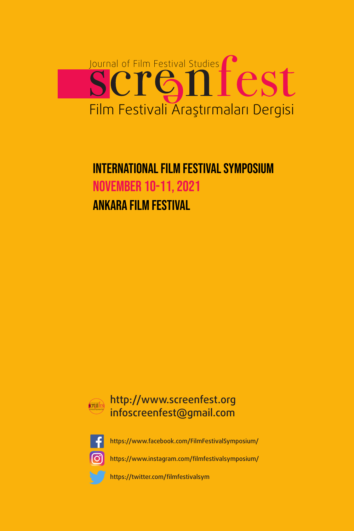

## ınternatıonal Fılm festıval symposıum november 10-11, 2021 Ankara Fılm Festıval





<https://www.facebook.com/FilmFestivalSymposium/>

<https://www.instagram.com/filmfestivalsymposium/>

[https://twitter.com/filmfestivalsym](https://twitter.com/filmfestivalsym )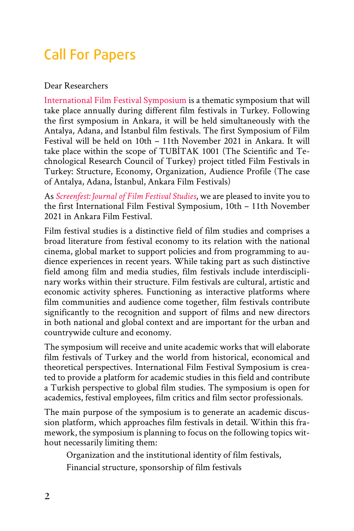# Call For Papers

#### Dear Researchers

[International Film Festival Symposium](http://www.screenfest.org) is a thematic symposium that will take place annually during different film festivals in Turkey. Following the first symposium in Ankara, it will be held simultaneously with the Antalya, Adana, and İstanbul film festivals. The first Symposium of Film Festival will be held on 10th – 11th November 2021 in Ankara. It will take place within the scope of TUBİTAK 1001 (The Scientific and Technological Research Council of Turkey) project titled Film Festivals in Turkey: Structure, Economy, Organization, Audience Profile (The case of Antalya, Adana, İstanbul, Ankara Film Festivals)

As *[Screenfest: Journal of Film Festival Studies](http://www.screenfest.org)*, we are pleased to invite you to the first International Film Festival Symposium, 10th – 11th November 2021 in Ankara Film Festival.

Film festival studies is a distinctive field of film studies and comprises a broad literature from festival economy to its relation with the national cinema, global market to support policies and from programming to audience experiences in recent years. While taking part as such distinctive field among film and media studies, film festivals include interdisciplinary works within their structure. Film festivals are cultural, artistic and economic activity spheres. Functioning as interactive platforms where film communities and audience come together, film festivals contribute significantly to the recognition and support of films and new directors in both national and global context and are important for the urban and countrywide culture and economy.

The symposium will receive and unite academic works that will elaborate film festivals of Turkey and the world from historical, economical and theoretical perspectives. International Film Festival Symposium is created to provide a platform for academic studies in this field and contribute a Turkish perspective to global film studies. The symposium is open for academics, festival employees, film critics and film sector professionals.

The main purpose of the symposium is to generate an academic discussion platform, which approaches film festivals in detail. Within this framework, the symposium is planning to focus on the following topics without necessarily limiting them:

Organization and the institutional identity of film festivals,

Financial structure, sponsorship of film festivals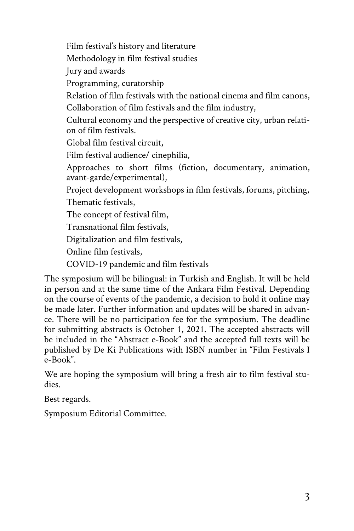Film festival's history and literature Methodology in film festival studies Jury and awards Programming, curatorship Relation of film festivals with the national cinema and film canons, Collaboration of film festivals and the film industry, Cultural economy and the perspective of creative city, urban relation of film festivals. Global film festival circuit, Film festival audience/ cinephilia, Approaches to short films (fiction, documentary, animation, avant-garde/experimental), Project development workshops in film festivals, forums, pitching, Thematic festivals, The concept of festival film, Transnational film festivals, Digitalization and film festivals, Online film festivals, COVID-19 pandemic and film festivals

The symposium will be bilingual: in Turkish and English. It will be held in person and at the same time of the Ankara Film Festival. Depending on the course of events of the pandemic, a decision to hold it online may be made later. Further information and updates will be shared in advance. There will be no participation fee for the symposium. The deadline for submitting abstracts is October 1, 2021. The accepted abstracts will be included in the "Abstract e-Book" and the accepted full texts will be published by De Ki Publications with ISBN number in "Film Festivals I e-Book".

We are hoping the symposium will bring a fresh air to film festival studies.

Best regards.

Symposium Editorial Committee.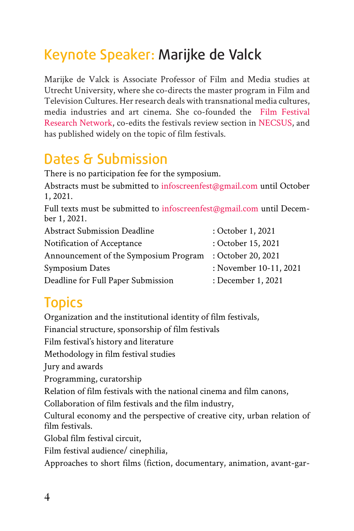# Keynote Speaker: Marijke de Valck

Marijke de Valck is Associate Professor of Film and Media studies at Utrecht University, where she co-directs the master program in Film and Television Cultures. Her research deals with transnational media cultures, media industries and art cinema. She co-founded the Film Festival Research Network, co-edits the festivals review section in NECSUS, and has published widely on the topic of film festivals.

## Dates & Submission

There is no participation fee for the symposium.

Abstracts must be submitted to infoscreenfest@gmail.com until October 1, 2021.

Full texts must be submitted to infoscreenfest@gmail.com until December 1, 2021.

| <b>Abstract Submission Deadline</b>   | : October 1, 2021      |
|---------------------------------------|------------------------|
| Notification of Acceptance            | : October 15, 2021     |
| Announcement of the Symposium Program | : October 20, 2021     |
| Symposium Dates                       | : November 10-11, 2021 |
| Deadline for Full Paper Submission    | : December 1, 2021     |
|                                       |                        |

# **Topics**

Organization and the institutional identity of film festivals, Financial structure, sponsorship of film festivals Film festival's history and literature Methodology in film festival studies Jury and awards Programming, curatorship Relation of film festivals with the national cinema and film canons, Collaboration of film festivals and the film industry, Cultural economy and the perspective of creative city, urban relation of film festivals. Global film festival circuit, Film festival audience/ cinephilia,

Approaches to short films (fiction, documentary, animation, avant-gar-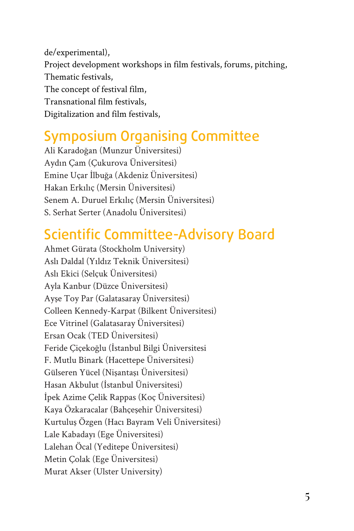de/experimental), Project development workshops in film festivals, forums, pitching, Thematic festivals, The concept of festival film, Transnational film festivals, Digitalization and film festivals,

### Symposium Organising Committee

Ali Karadoğan (Munzur Üniversitesi) Aydın Çam (Çukurova Üniversitesi) Emine Uçar İlbuğa (Akdeniz Üniversitesi) Hakan Erkılıç (Mersin Üniversitesi) Senem A. Duruel Erkılıç (Mersin Üniversitesi) S. Serhat Serter (Anadolu Üniversitesi)

## Scientific Committee-Advisory Board

Ahmet Gürata (Stockholm University) Aslı Daldal (Yıldız Teknik Üniversitesi) Aslı Ekici (Selçuk Üniversitesi) Ayla Kanbur (Düzce Üniversitesi) Ayşe Toy Par (Galatasaray Üniversitesi) Colleen Kennedy-Karpat (Bilkent Üniversitesi) Ece Vitrinel (Galatasaray Üniversitesi) Ersan Ocak (TED Üniversitesi) Feride Çiçekoğlu (İstanbul Bilgi Üniversitesi F. Mutlu Binark (Hacettepe Üniversitesi) Gülseren Yücel (Nişantaşı Üniversitesi) Hasan Akbulut (İstanbul Üniversitesi) İpek Azime Çelik Rappas (Koç Üniversitesi) Kaya Özkaracalar (Bahçeşehir Üniversitesi) Kurtuluş Özgen (Hacı Bayram Veli Üniversitesi) Lale Kabadayı (Ege Üniversitesi) Lalehan Öcal (Yeditepe Üniversitesi) Metin Çolak (Ege Üniversitesi) Murat Akser (Ulster University)